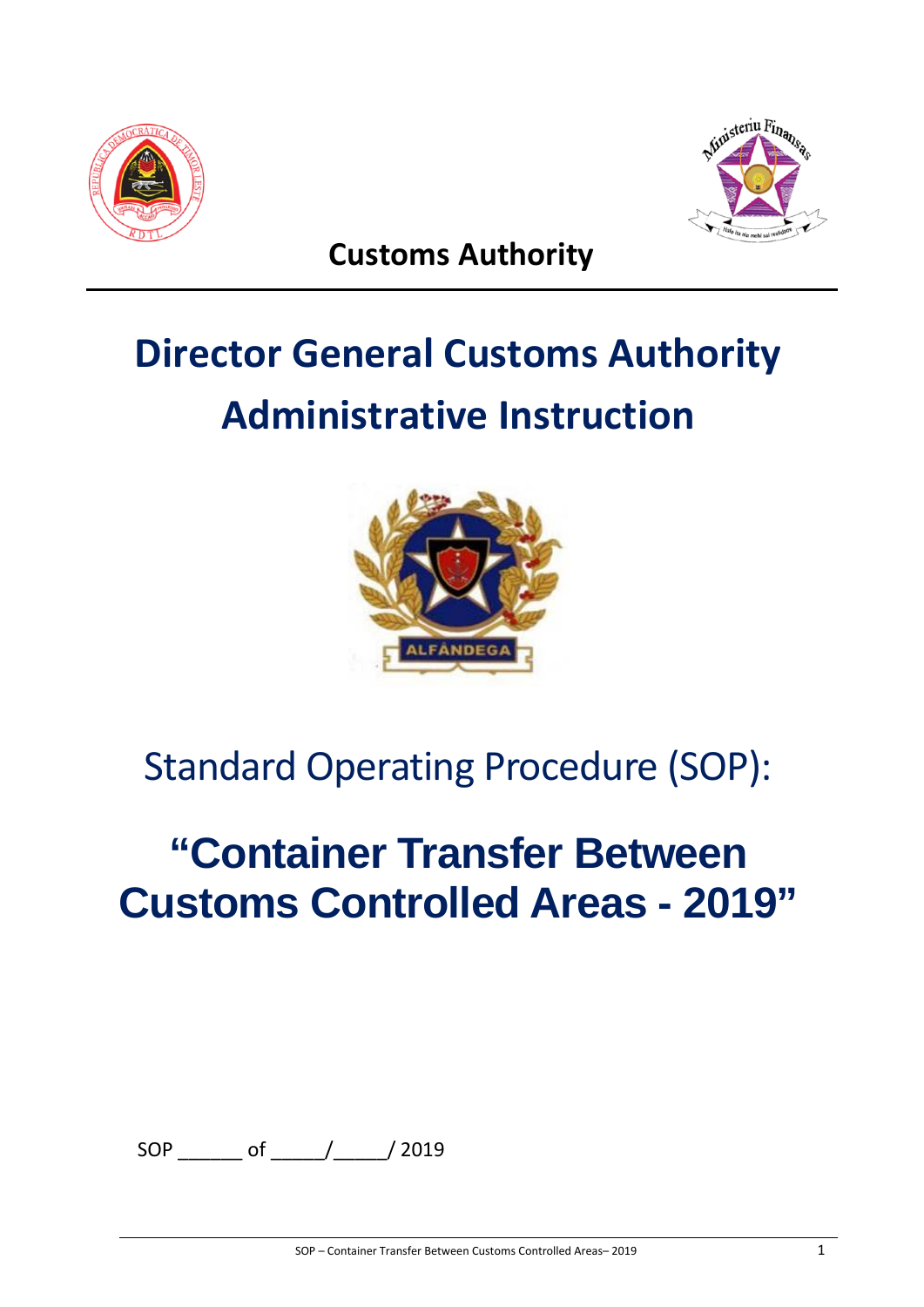



**Customs Authority**

# **Director General Customs Authority Administrative Instruction**



# Standard Operating Procedure (SOP):

# **"Container Transfer Between Customs Controlled Areas - 2019"**

SOP \_\_\_\_\_\_ of \_\_\_\_\_/\_\_\_\_\_/ 2019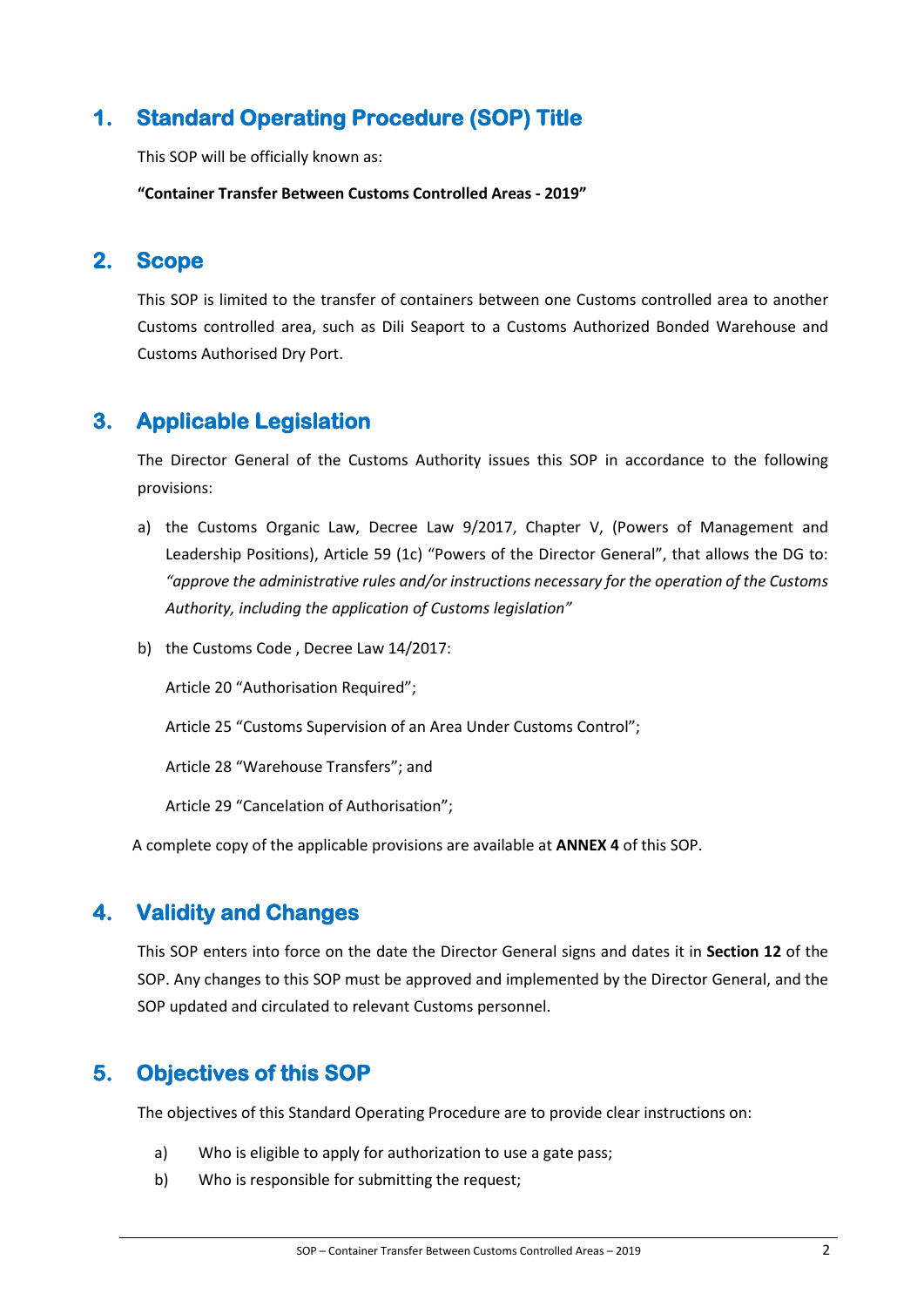# **1. Standard Operating Procedure (SOP) Title**

This SOP will be officially known as:

**"Container Transfer Between Customs Controlled Areas - 2019"**

## **2. Scope**

This SOP is limited to the transfer of containers between one Customs controlled area to another Customs controlled area, such as Dili Seaport to a Customs Authorized Bonded Warehouse and Customs Authorised Dry Port.

# **3. Applicable Legislation**

The Director General of the Customs Authority issues this SOP in accordance to the following provisions:

- a) the Customs Organic Law, Decree Law 9/2017, Chapter V, (Powers of Management and Leadership Positions), Article 59 (1c) "Powers of the Director General", that allows the DG to: *"approve the administrative rules and/or instructions necessary for the operation of the Customs Authority, including the application of Customs legislation"*
- b) the Customs Code , Decree Law 14/2017:

Article 20 "Authorisation Required";

Article 25 "Customs Supervision of an Area Under Customs Control";

Article 28 "Warehouse Transfers"; and

Article 29 "Cancelation of Authorisation";

A complete copy of the applicable provisions are available at **ANNEX 4** of this SOP.

## **4. Validity and Changes**

This SOP enters into force on the date the Director General signs and dates it in **Section 12** of the SOP. Any changes to this SOP must be approved and implemented by the Director General, and the SOP updated and circulated to relevant Customs personnel.

# **5. Objectives of this SOP**

The objectives of this Standard Operating Procedure are to provide clear instructions on:

- a) Who is eligible to apply for authorization to use a gate pass;
- b) Who is responsible for submitting the request;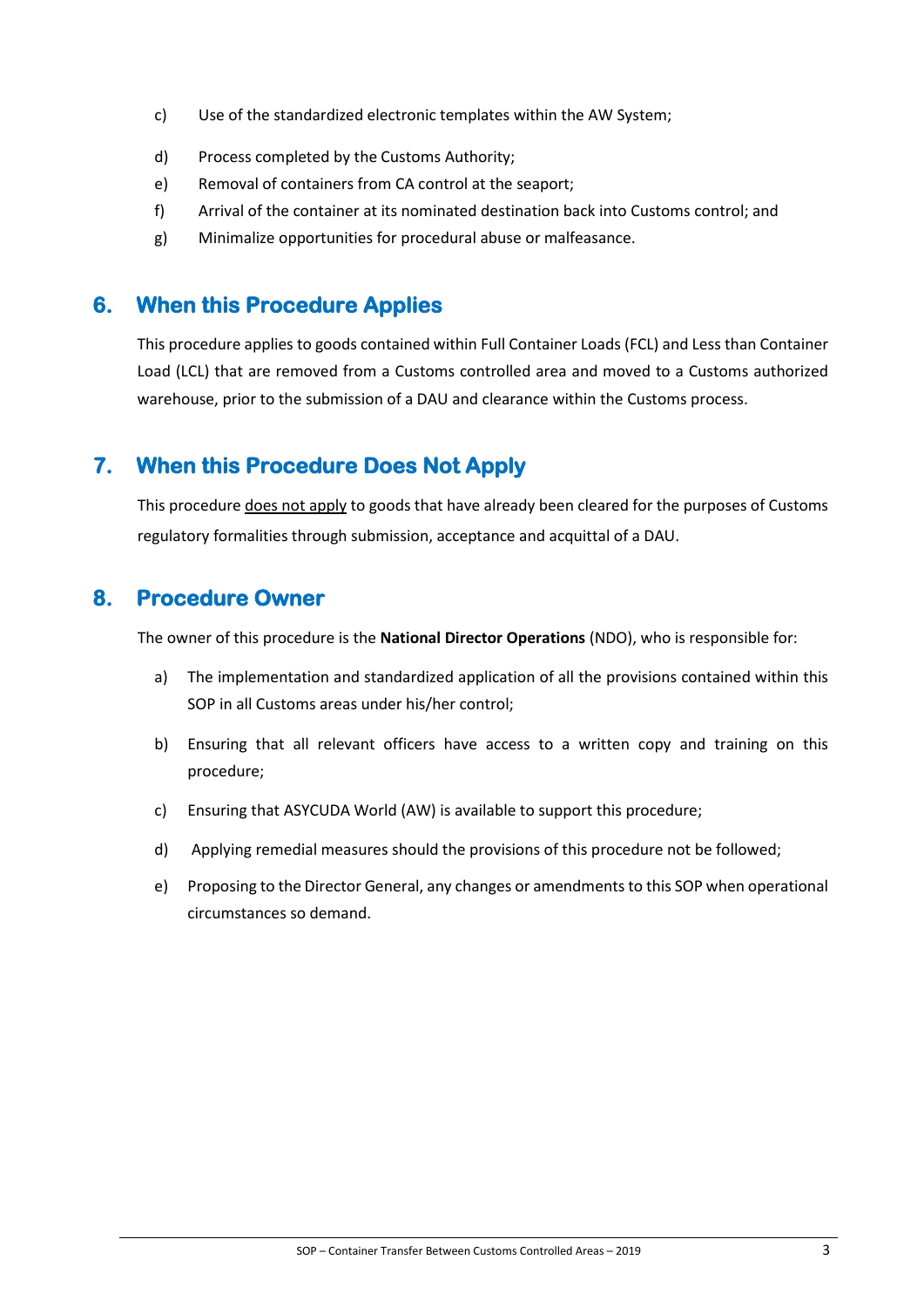- c) Use of the standardized electronic templates within the AW System;
- d) Process completed by the Customs Authority;
- e) Removal of containers from CA control at the seaport;
- f) Arrival of the container at its nominated destination back into Customs control; and
- g) Minimalize opportunities for procedural abuse or malfeasance.

## **6. When this Procedure Applies**

This procedure applies to goods contained within Full Container Loads (FCL) and Less than Container Load (LCL) that are removed from a Customs controlled area and moved to a Customs authorized warehouse, prior to the submission of a DAU and clearance within the Customs process.

# **7. When this Procedure Does Not Apply**

This procedure does not apply to goods that have already been cleared for the purposes of Customs regulatory formalities through submission, acceptance and acquittal of a DAU.

## **8. Procedure Owner**

The owner of this procedure is the **National Director Operations** (NDO), who is responsible for:

- a) The implementation and standardized application of all the provisions contained within this SOP in all Customs areas under his/her control;
- b) Ensuring that all relevant officers have access to a written copy and training on this procedure;
- c) Ensuring that ASYCUDA World (AW) is available to support this procedure;
- d) Applying remedial measures should the provisions of this procedure not be followed;
- e) Proposing to the Director General, any changes or amendments to this SOP when operational circumstances so demand.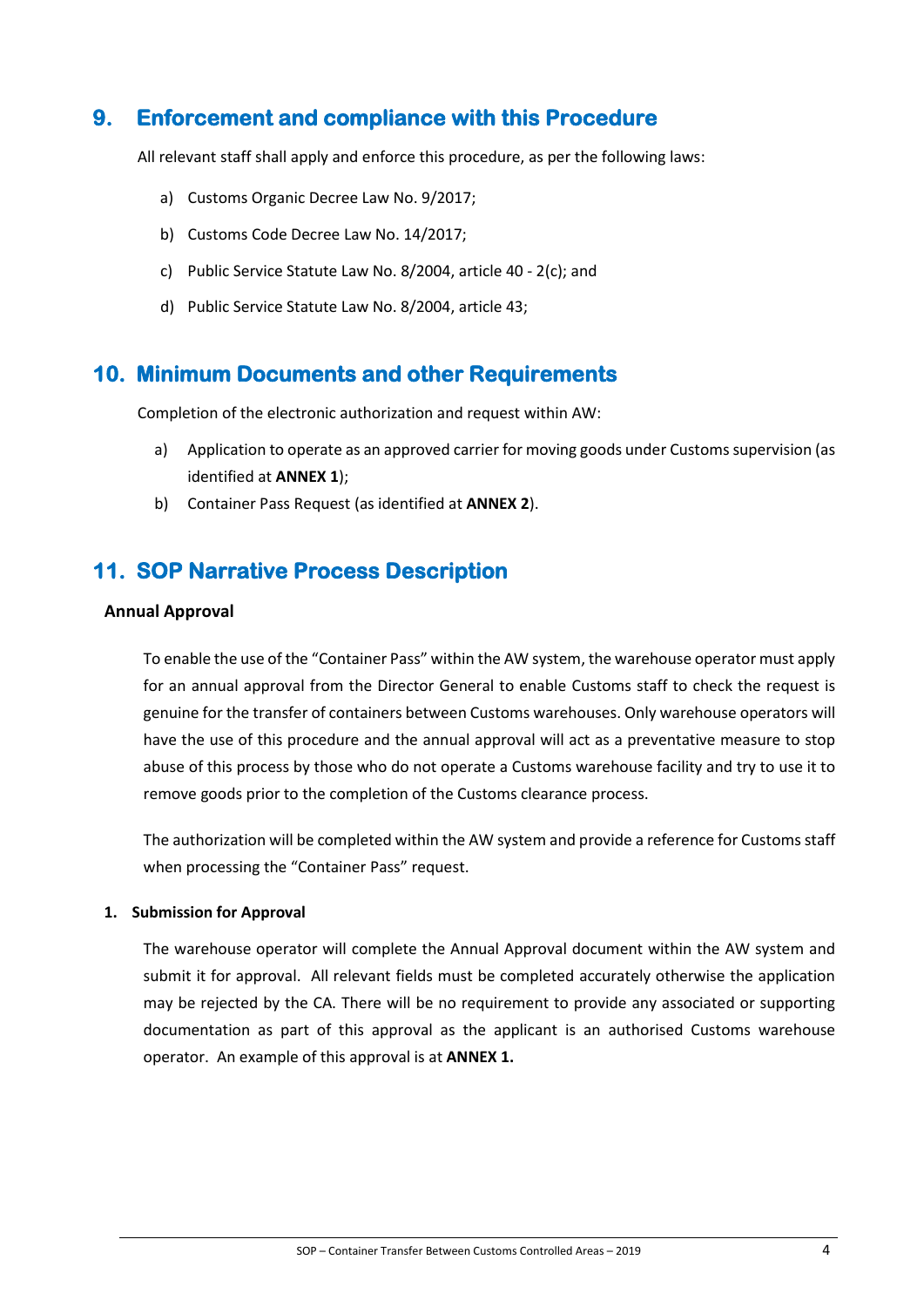## **9. Enforcement and compliance with this Procedure**

All relevant staff shall apply and enforce this procedure, as per the following laws:

- a) Customs Organic Decree Law No. 9/2017;
- b) Customs Code Decree Law No. 14/2017;
- c) Public Service Statute Law No. 8/2004, article 40 2(c); and
- d) Public Service Statute Law No. 8/2004, article 43;

### **10. Minimum Documents and other Requirements**

Completion of the electronic authorization and request within AW:

- a) Application to operate as an approved carrier for moving goods under Customs supervision (as identified at **ANNEX 1**);
- b) Container Pass Request (as identified at **ANNEX 2**).

## **11. SOP Narrative Process Description**

#### **Annual Approval**

To enable the use of the "Container Pass" within the AW system, the warehouse operator must apply for an annual approval from the Director General to enable Customs staff to check the request is genuine for the transfer of containers between Customs warehouses. Only warehouse operators will have the use of this procedure and the annual approval will act as a preventative measure to stop abuse of this process by those who do not operate a Customs warehouse facility and try to use it to remove goods prior to the completion of the Customs clearance process.

The authorization will be completed within the AW system and provide a reference for Customs staff when processing the "Container Pass" request.

#### **1. Submission for Approval**

The warehouse operator will complete the Annual Approval document within the AW system and submit it for approval. All relevant fields must be completed accurately otherwise the application may be rejected by the CA. There will be no requirement to provide any associated or supporting documentation as part of this approval as the applicant is an authorised Customs warehouse operator. An example of this approval is at **ANNEX 1.**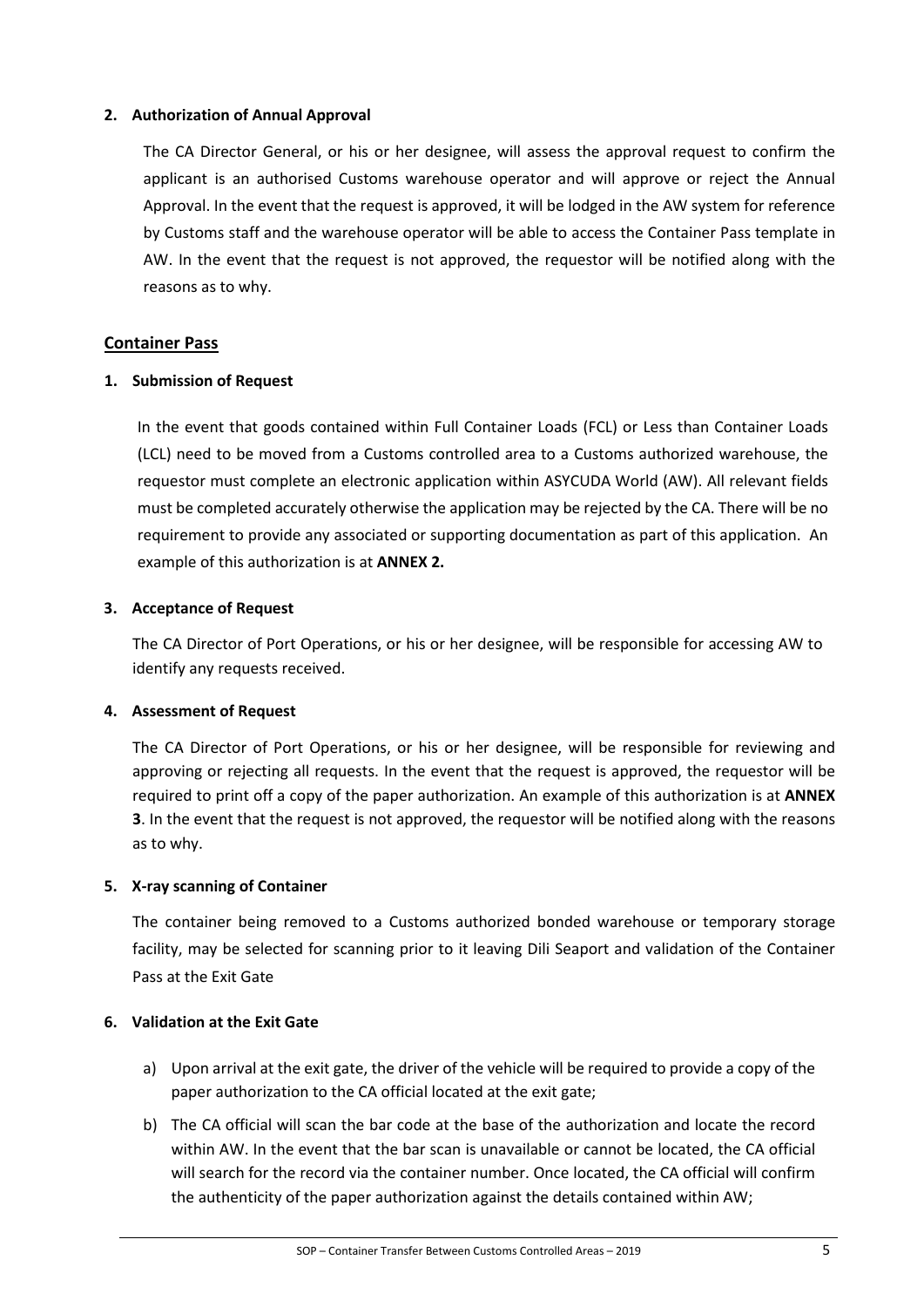#### **2. Authorization of Annual Approval**

The CA Director General, or his or her designee, will assess the approval request to confirm the applicant is an authorised Customs warehouse operator and will approve or reject the Annual Approval. In the event that the request is approved, it will be lodged in the AW system for reference by Customs staff and the warehouse operator will be able to access the Container Pass template in AW. In the event that the request is not approved, the requestor will be notified along with the reasons as to why.

#### **Container Pass**

#### **1. Submission of Request**

In the event that goods contained within Full Container Loads (FCL) or Less than Container Loads (LCL) need to be moved from a Customs controlled area to a Customs authorized warehouse, the requestor must complete an electronic application within ASYCUDA World (AW). All relevant fields must be completed accurately otherwise the application may be rejected by the CA. There will be no requirement to provide any associated or supporting documentation as part of this application. An example of this authorization is at **ANNEX 2.**

#### **3. Acceptance of Request**

The CA Director of Port Operations, or his or her designee, will be responsible for accessing AW to identify any requests received.

#### **4. Assessment of Request**

The CA Director of Port Operations, or his or her designee, will be responsible for reviewing and approving or rejecting all requests. In the event that the request is approved, the requestor will be required to print off a copy of the paper authorization. An example of this authorization is at **ANNEX 3**. In the event that the request is not approved, the requestor will be notified along with the reasons as to why.

#### **5. X-ray scanning of Container**

The container being removed to a Customs authorized bonded warehouse or temporary storage facility, may be selected for scanning prior to it leaving Dili Seaport and validation of the Container Pass at the Exit Gate

#### **6. Validation at the Exit Gate**

- a) Upon arrival at the exit gate, the driver of the vehicle will be required to provide a copy of the paper authorization to the CA official located at the exit gate;
- b) The CA official will scan the bar code at the base of the authorization and locate the record within AW. In the event that the bar scan is unavailable or cannot be located, the CA official will search for the record via the container number. Once located, the CA official will confirm the authenticity of the paper authorization against the details contained within AW;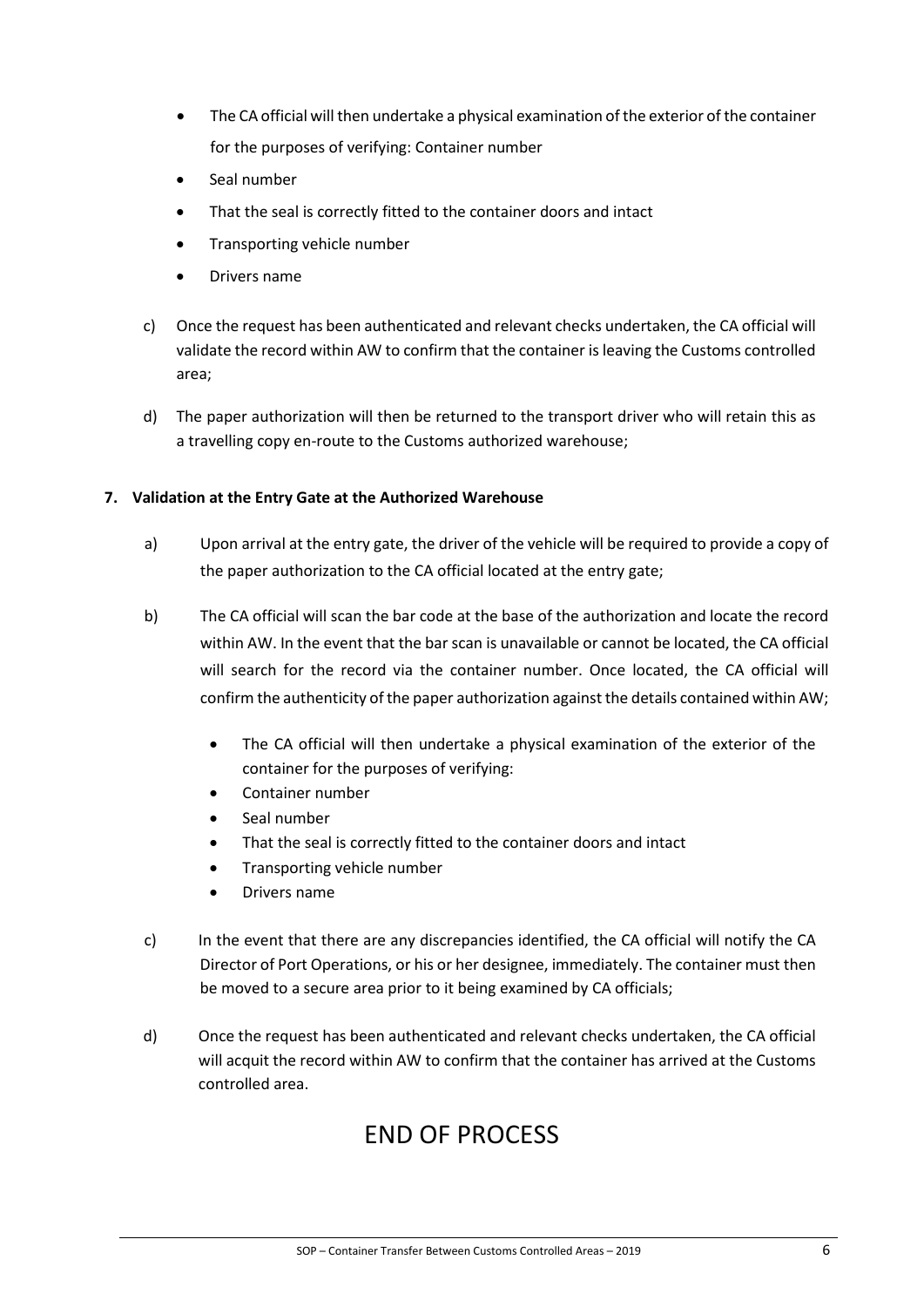- The CA official will then undertake a physical examination of the exterior of the container for the purposes of verifying: Container number
- Seal number
- That the seal is correctly fitted to the container doors and intact
- Transporting vehicle number
- Drivers name
- c) Once the request has been authenticated and relevant checks undertaken, the CA official will validate the record within AW to confirm that the container is leaving the Customs controlled area;
- d) The paper authorization will then be returned to the transport driver who will retain this as a travelling copy en-route to the Customs authorized warehouse;

#### **7. Validation at the Entry Gate at the Authorized Warehouse**

- a) Upon arrival at the entry gate, the driver of the vehicle will be required to provide a copy of the paper authorization to the CA official located at the entry gate;
- b) The CA official will scan the bar code at the base of the authorization and locate the record within AW. In the event that the bar scan is unavailable or cannot be located, the CA official will search for the record via the container number. Once located, the CA official will confirm the authenticity of the paper authorization against the details contained within AW;
	- The CA official will then undertake a physical examination of the exterior of the container for the purposes of verifying:
	- Container number
	- Seal number
	- That the seal is correctly fitted to the container doors and intact
	- Transporting vehicle number
	- Drivers name
- c) In the event that there are any discrepancies identified, the CA official will notify the CA Director of Port Operations, or his or her designee, immediately. The container must then be moved to a secure area prior to it being examined by CA officials;
- d) Once the request has been authenticated and relevant checks undertaken, the CA official will acquit the record within AW to confirm that the container has arrived at the Customs controlled area.

# END OF PROCESS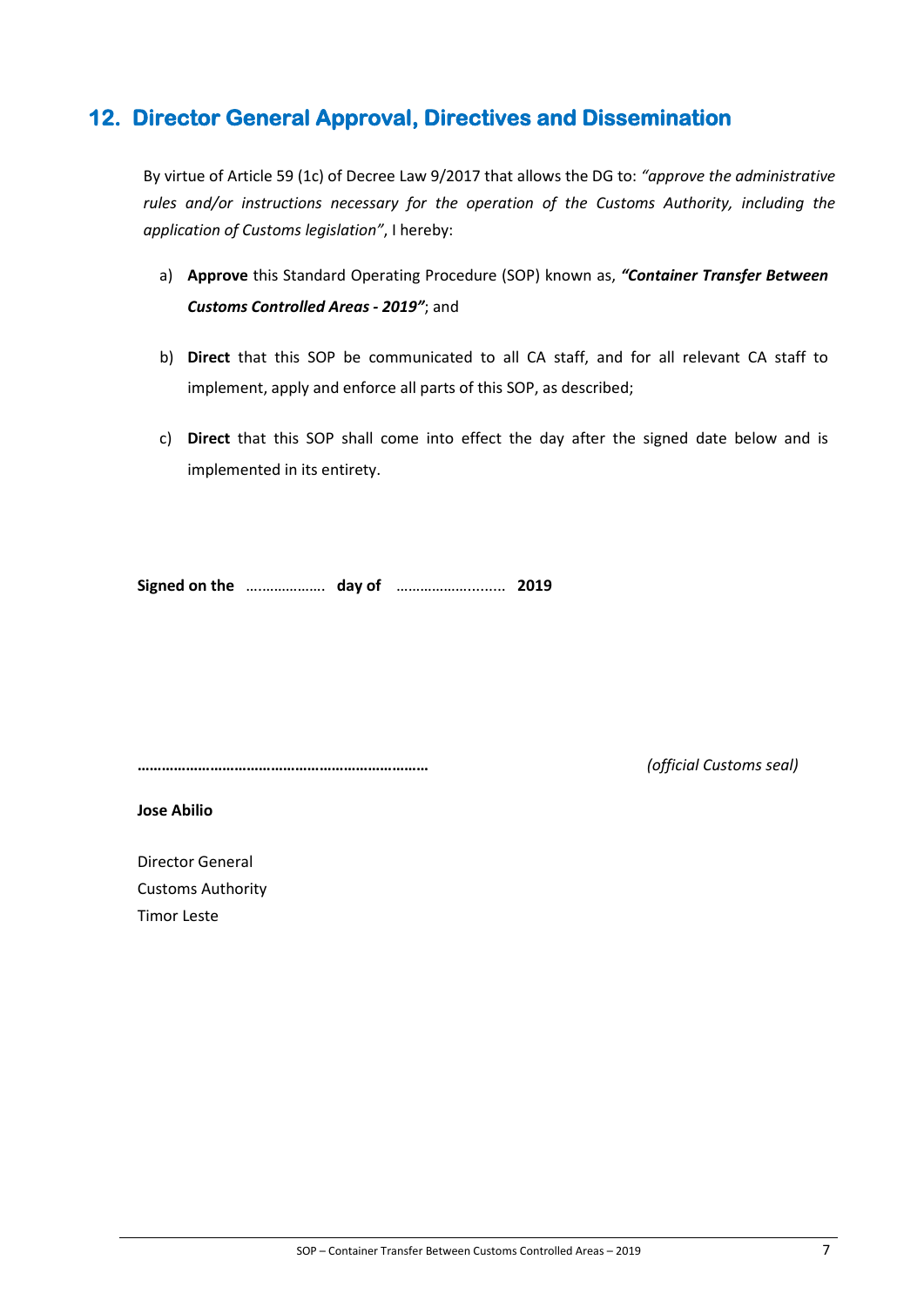# **12. Director General Approval, Directives and Dissemination**

By virtue of Article 59 (1c) of Decree Law 9/2017 that allows the DG to: *"approve the administrative rules and/or instructions necessary for the operation of the Customs Authority, including the application of Customs legislation"*, I hereby:

- a) **Approve** this Standard Operating Procedure (SOP) known as, *"Container Transfer Between Customs Controlled Areas - 2019"*; and
- b) **Direct** that this SOP be communicated to all CA staff, and for all relevant CA staff to implement, apply and enforce all parts of this SOP, as described;
- c) **Direct** that this SOP shall come into effect the day after the signed date below and is implemented in its entirety.

**Signed on the** ….……………. **day of** ………………......... **2019**

**………………………………………………………………** *(official Customs seal)*

**Jose Abilio**

Director General Customs Authority Timor Leste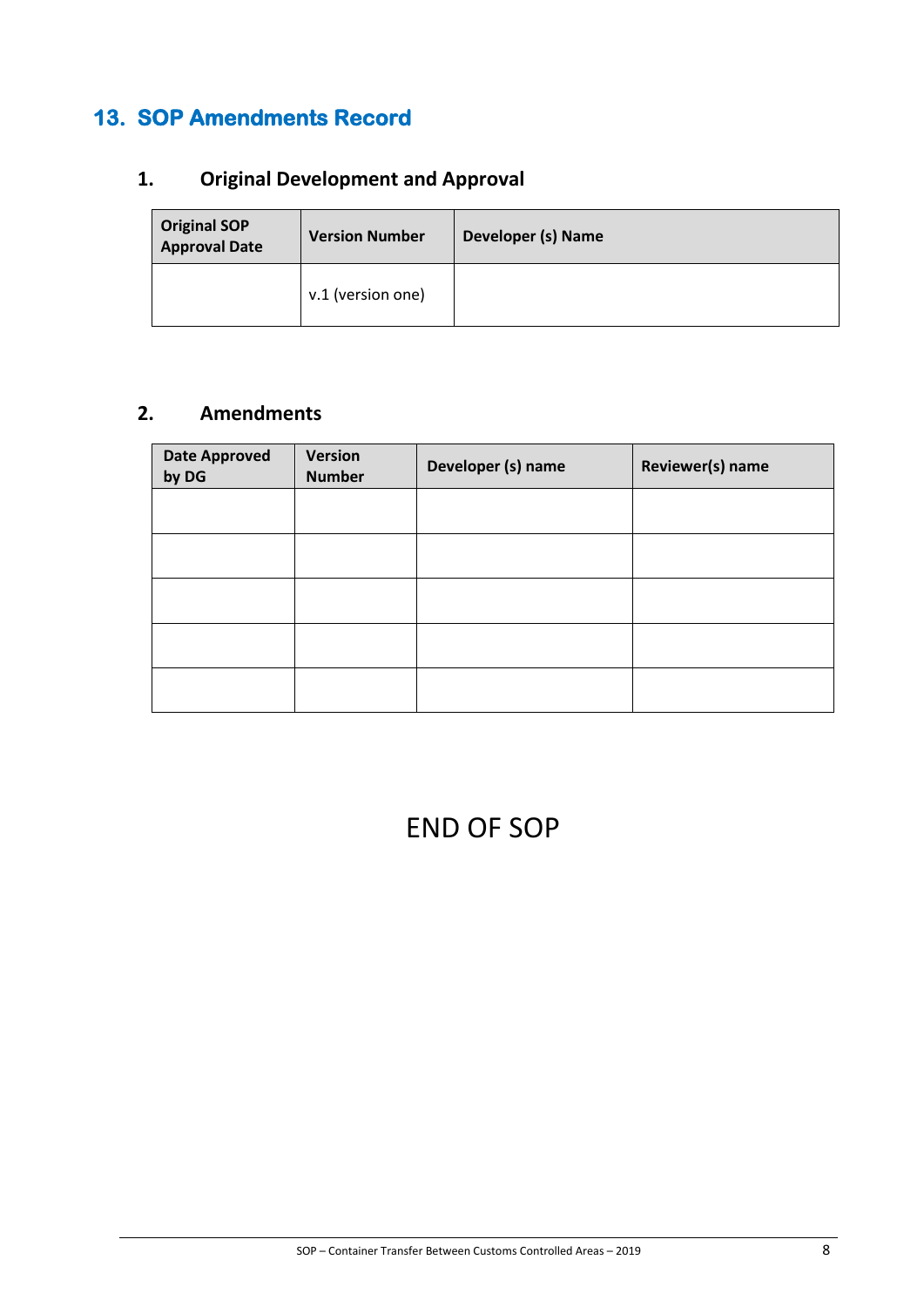# **13. SOP Amendments Record**

# **1. Original Development and Approval**

| <b>Original SOP</b><br><b>Approval Date</b> | <b>Version Number</b> | Developer (s) Name |
|---------------------------------------------|-----------------------|--------------------|
|                                             | v.1 (version one)     |                    |

## **2. Amendments**

| <b>Date Approved</b><br>by DG | Version<br><b>Number</b> | Developer (s) name | Reviewer(s) name |
|-------------------------------|--------------------------|--------------------|------------------|
|                               |                          |                    |                  |
|                               |                          |                    |                  |
|                               |                          |                    |                  |
|                               |                          |                    |                  |
|                               |                          |                    |                  |

# END OF SOP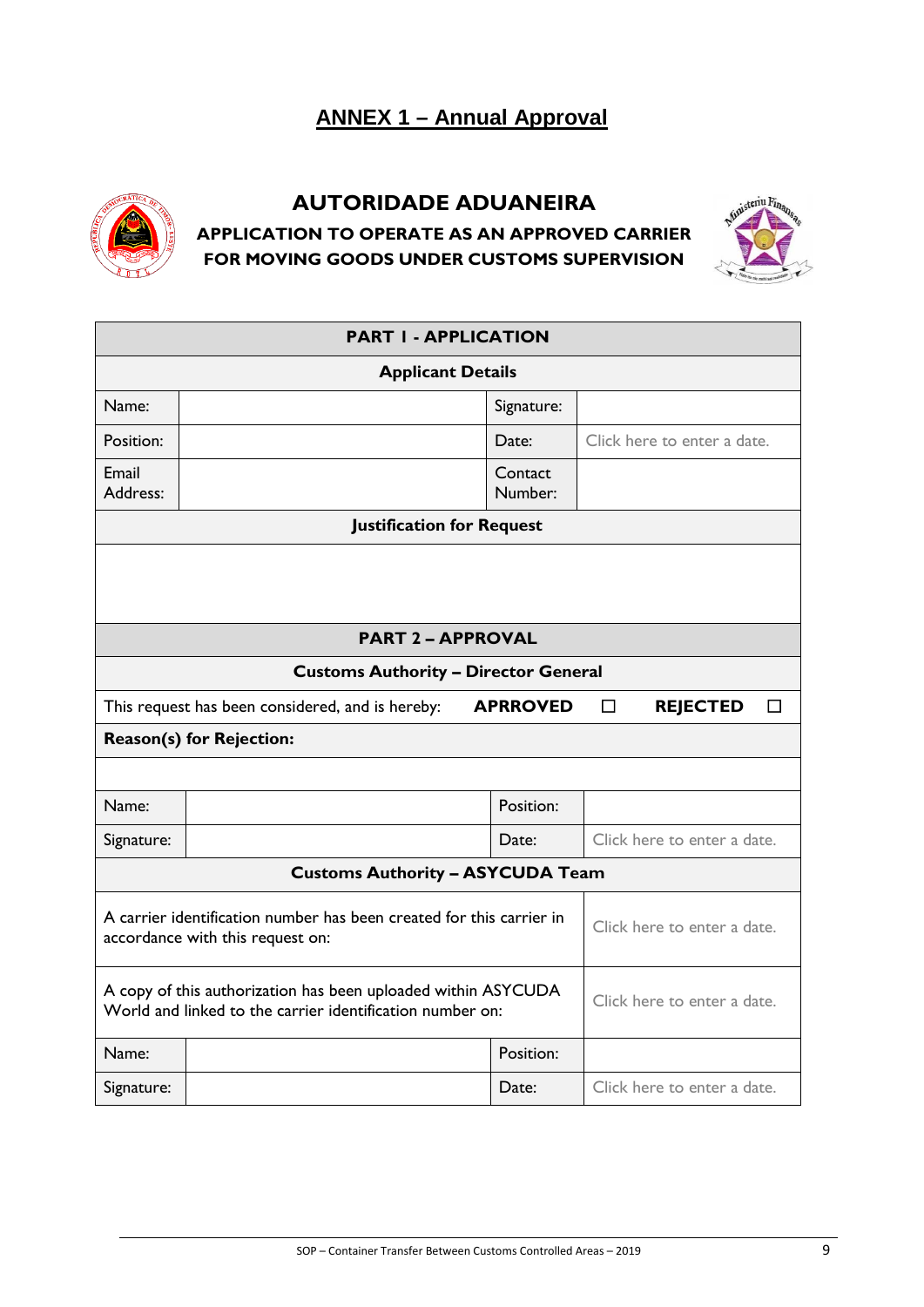# **ANNEX 1 – Annual Approval**



# **AUTORIDADE ADUANEIRA APPLICATION TO OPERATE AS AN APPROVED CARRIER FOR MOVING GOODS UNDER CUSTOMS SUPERVISION**



| <b>PART I - APPLICATION</b>                                                                                                |                                  |                    |                             |  |
|----------------------------------------------------------------------------------------------------------------------------|----------------------------------|--------------------|-----------------------------|--|
| <b>Applicant Details</b>                                                                                                   |                                  |                    |                             |  |
| Name:                                                                                                                      |                                  | Signature:         |                             |  |
| Position:                                                                                                                  |                                  | Date:              | Click here to enter a date. |  |
| Email<br>Address:                                                                                                          |                                  | Contact<br>Number: |                             |  |
|                                                                                                                            | <b>Justification for Request</b> |                    |                             |  |
|                                                                                                                            |                                  |                    |                             |  |
|                                                                                                                            |                                  |                    |                             |  |
|                                                                                                                            | <b>PART 2 - APPROVAL</b>         |                    |                             |  |
| <b>Customs Authority - Director General</b>                                                                                |                                  |                    |                             |  |
| This request has been considered, and is hereby:<br><b>APRROVED</b><br>П<br><b>REJECTED</b><br>П                           |                                  |                    |                             |  |
| <b>Reason(s) for Rejection:</b>                                                                                            |                                  |                    |                             |  |
|                                                                                                                            |                                  |                    |                             |  |
| Name:                                                                                                                      |                                  | Position:          |                             |  |
| Signature:                                                                                                                 |                                  | Date:              | Click here to enter a date. |  |
| <b>Customs Authority - ASYCUDA Team</b>                                                                                    |                                  |                    |                             |  |
| A carrier identification number has been created for this carrier in<br>accordance with this request on:                   |                                  |                    | Click here to enter a date. |  |
| A copy of this authorization has been uploaded within ASYCUDA<br>World and linked to the carrier identification number on: |                                  |                    | Click here to enter a date. |  |
| Name:                                                                                                                      |                                  | Position:          |                             |  |
| Signature:                                                                                                                 | Date:                            |                    | Click here to enter a date. |  |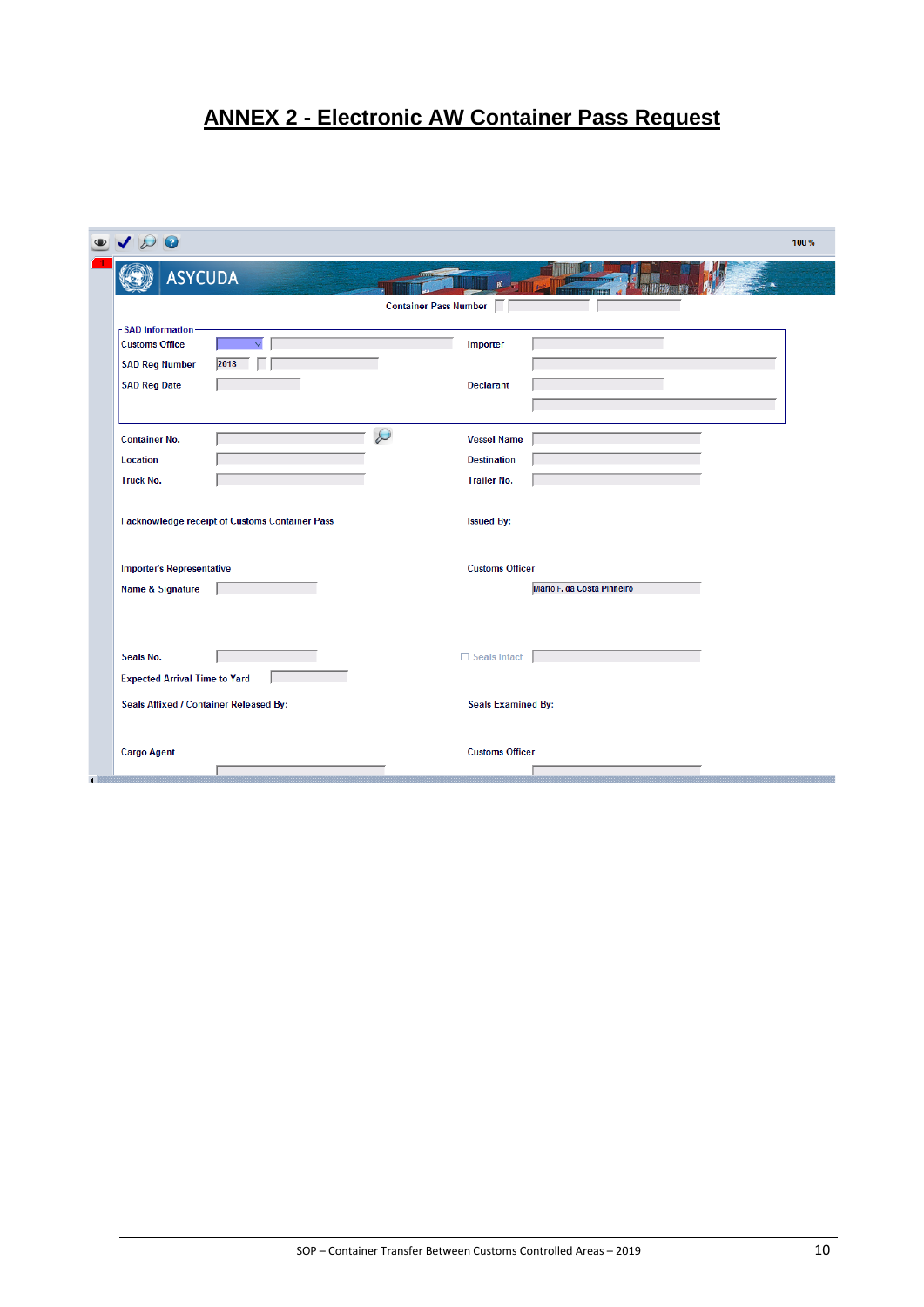# **ANNEX 2 - Electronic AW Container Pass Request**

|                | $\bullet$                                                                                       |                                                 |                              |                              |                            | 100% |
|----------------|-------------------------------------------------------------------------------------------------|-------------------------------------------------|------------------------------|------------------------------|----------------------------|------|
|                | <b>ASYCUDA</b>                                                                                  |                                                 |                              |                              |                            |      |
|                |                                                                                                 |                                                 | <b>Container Pass Number</b> |                              |                            |      |
|                | <b>SAD Information</b><br><b>Customs Office</b><br><b>SAD Reg Number</b><br><b>SAD Reg Date</b> | $\triangledown$<br>2018                         |                              | Importer<br><b>Declarant</b> |                            |      |
|                |                                                                                                 |                                                 |                              |                              |                            |      |
|                | <b>Container No.</b>                                                                            |                                                 | $\varnothing$                | <b>Vessel Name</b>           |                            |      |
|                | Location                                                                                        |                                                 |                              | <b>Destination</b>           |                            |      |
|                | <b>Truck No.</b>                                                                                |                                                 |                              | <b>Trailer No.</b>           |                            |      |
|                |                                                                                                 | I acknowledge receipt of Customs Container Pass |                              | <b>Issued By:</b>            |                            |      |
|                | <b>Importer's Representative</b>                                                                |                                                 |                              | <b>Customs Officer</b>       |                            |      |
|                | <b>Name &amp; Signature</b>                                                                     |                                                 |                              |                              | Mario F. da Costa Pinheiro |      |
|                |                                                                                                 |                                                 |                              |                              |                            |      |
|                | Seals No.                                                                                       |                                                 |                              | Seals Intact                 |                            |      |
|                | <b>Expected Arrival Time to Yard</b>                                                            |                                                 |                              |                              |                            |      |
|                | Seals Affixed / Container Released By:                                                          |                                                 |                              | <b>Seals Examined By:</b>    |                            |      |
| $\blacksquare$ | <b>Cargo Agent</b>                                                                              |                                                 |                              | <b>Customs Officer</b>       |                            |      |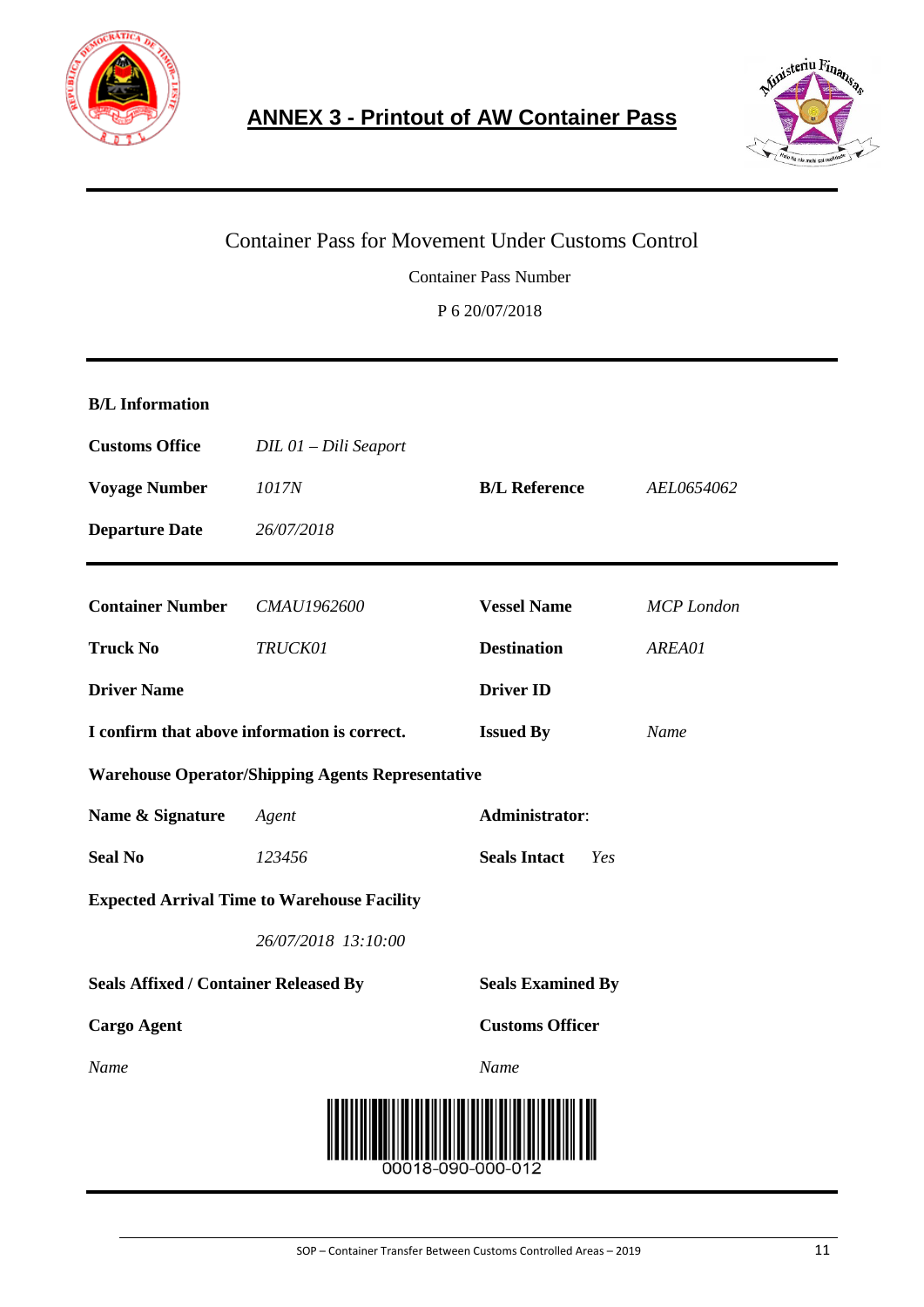



# Container Pass for Movement Under Customs Control Container Pass Number P 6 20/07/2018

| <b>B/L</b> Information                       |                                                          |                            |                   |  |  |
|----------------------------------------------|----------------------------------------------------------|----------------------------|-------------------|--|--|
| <b>Customs Office</b>                        | DIL 01 - Dili Seaport                                    |                            |                   |  |  |
| <b>Voyage Number</b>                         | 1017N                                                    | <b>B/L Reference</b>       | AEL0654062        |  |  |
| <b>Departure Date</b>                        | 26/07/2018                                               |                            |                   |  |  |
| <b>Container Number</b>                      | CMAU1962600                                              | <b>Vessel Name</b>         | <b>MCP</b> London |  |  |
| <b>Truck No</b>                              | TRUCK01                                                  | <b>Destination</b>         | AREA01            |  |  |
| <b>Driver Name</b>                           |                                                          | <b>Driver ID</b>           |                   |  |  |
| I confirm that above information is correct. |                                                          | <b>Issued By</b>           | Name              |  |  |
|                                              | <b>Warehouse Operator/Shipping Agents Representative</b> |                            |                   |  |  |
| Name & Signature                             | Agent                                                    | Administrator:             |                   |  |  |
| <b>Seal No</b>                               | 123456                                                   | <b>Seals Intact</b><br>Yes |                   |  |  |
|                                              | <b>Expected Arrival Time to Warehouse Facility</b>       |                            |                   |  |  |
|                                              | 26/07/2018 13:10:00                                      |                            |                   |  |  |
| <b>Seals Affixed / Container Released By</b> |                                                          | <b>Seals Examined By</b>   |                   |  |  |
| <b>Cargo Agent</b>                           |                                                          | <b>Customs Officer</b>     |                   |  |  |
| Name                                         |                                                          | Name                       |                   |  |  |
|                                              |                                                          |                            |                   |  |  |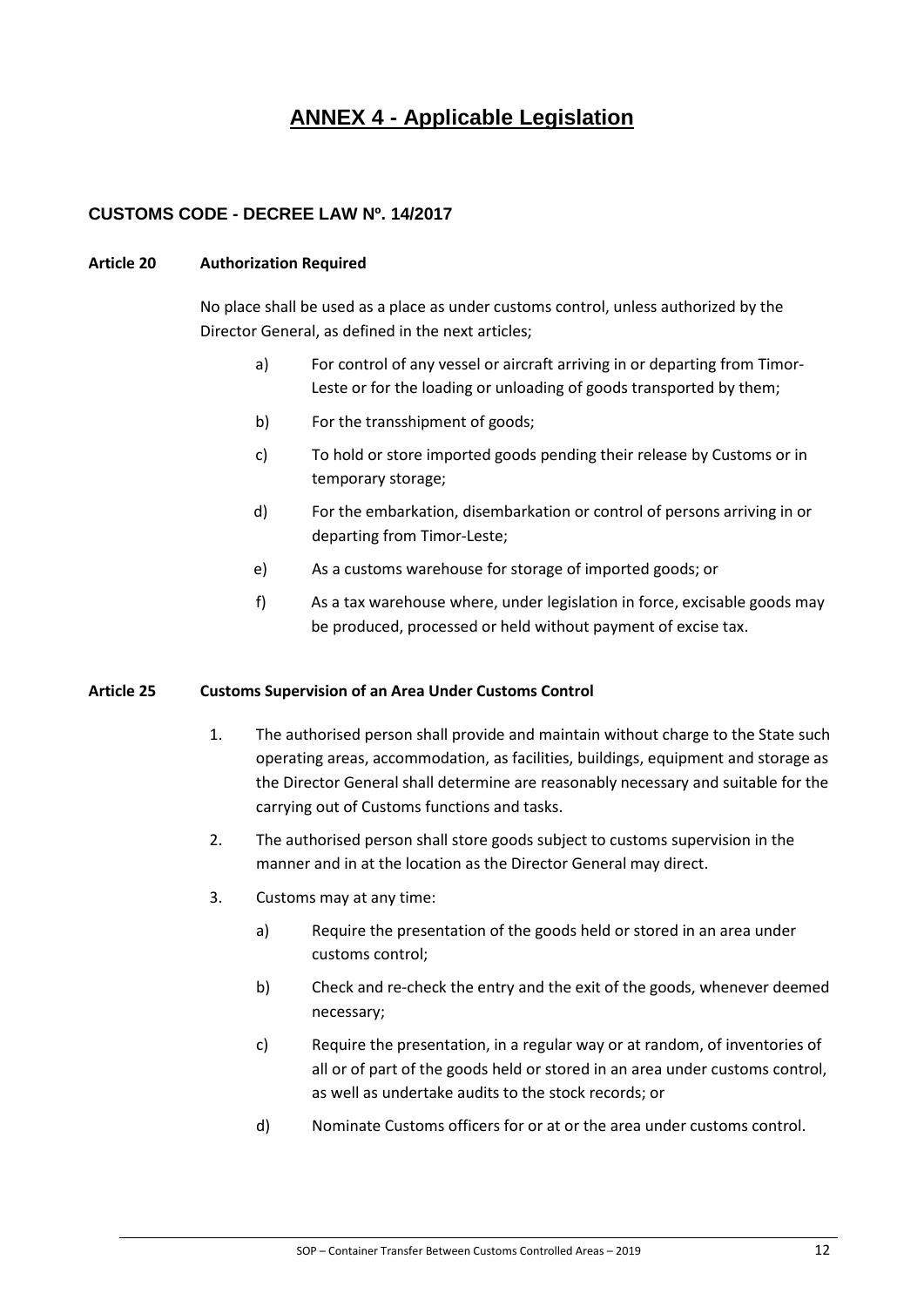# **ANNEX 4 - Applicable Legislation**

#### **CUSTOMS CODE - DECREE LAW Nº. 14/2017**

#### **Article 20 Authorization Required**

No place shall be used as a place as under customs control, unless authorized by the Director General, as defined in the next articles;

- a) For control of any vessel or aircraft arriving in or departing from Timor-Leste or for the loading or unloading of goods transported by them;
- b) For the transshipment of goods;
- c) To hold or store imported goods pending their release by Customs or in temporary storage;
- d) For the embarkation, disembarkation or control of persons arriving in or departing from Timor-Leste;
- e) As a customs warehouse for storage of imported goods; or
- f) As a tax warehouse where, under legislation in force, excisable goods may be produced, processed or held without payment of excise tax.

#### **Article 25 Customs Supervision of an Area Under Customs Control**

- 1. The authorised person shall provide and maintain without charge to the State such operating areas, accommodation, as facilities, buildings, equipment and storage as the Director General shall determine are reasonably necessary and suitable for the carrying out of Customs functions and tasks.
- 2. The authorised person shall store goods subject to customs supervision in the manner and in at the location as the Director General may direct.
- 3. Customs may at any time:
	- a) Require the presentation of the goods held or stored in an area under customs control;
	- b) Check and re-check the entry and the exit of the goods, whenever deemed necessary;
	- c) Require the presentation, in a regular way or at random, of inventories of all or of part of the goods held or stored in an area under customs control, as well as undertake audits to the stock records; or
	- d) Nominate Customs officers for or at or the area under customs control.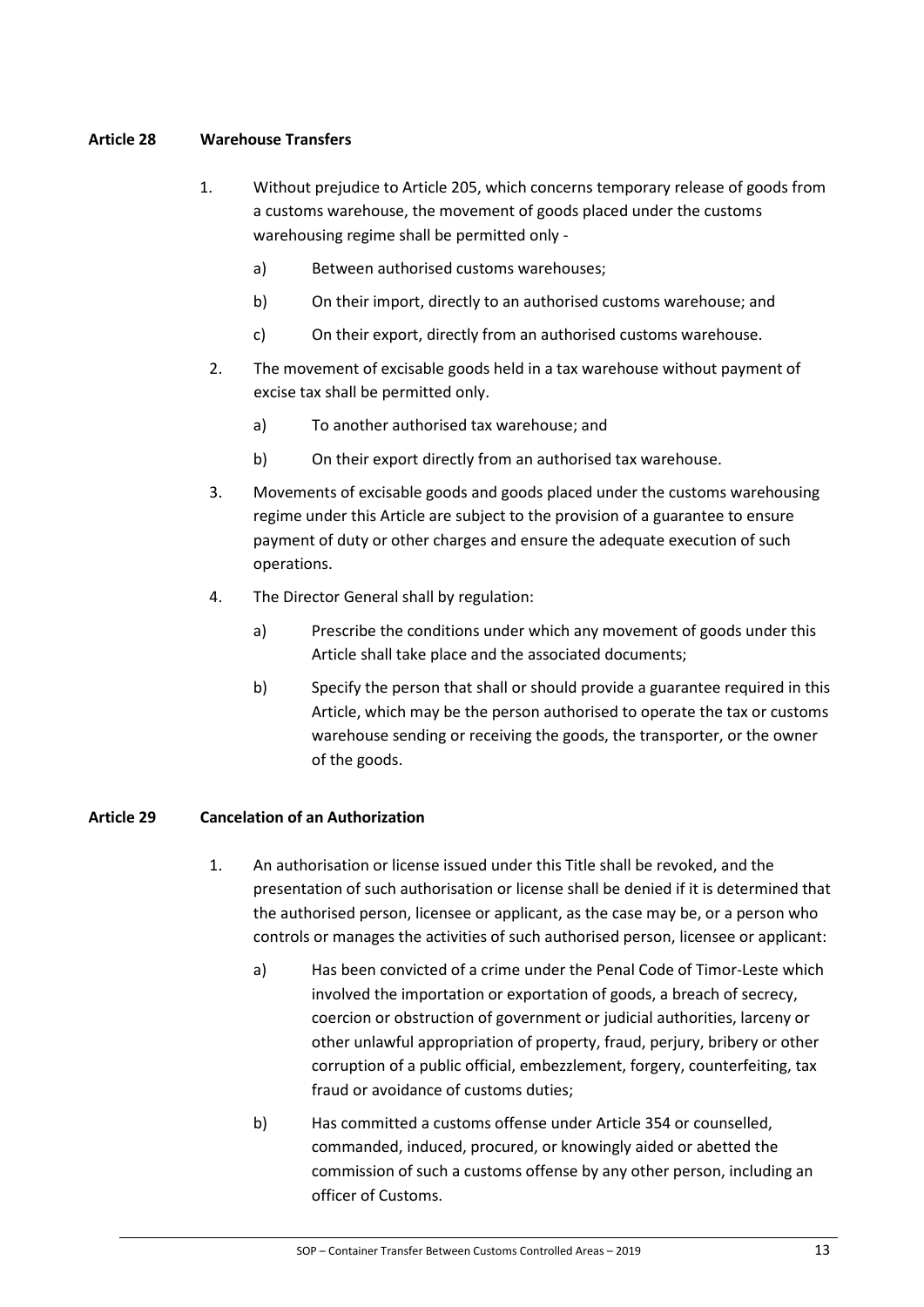#### **Article 28 Warehouse Transfers**

- 1. Without prejudice to Article 205, which concerns temporary release of goods from a customs warehouse, the movement of goods placed under the customs warehousing regime shall be permitted only
	- a) Between authorised customs warehouses;
	- b) On their import, directly to an authorised customs warehouse; and
	- c) On their export, directly from an authorised customs warehouse.
	- 2. The movement of excisable goods held in a tax warehouse without payment of excise tax shall be permitted only.
		- a) To another authorised tax warehouse; and
		- b) On their export directly from an authorised tax warehouse.
	- 3. Movements of excisable goods and goods placed under the customs warehousing regime under this Article are subject to the provision of a guarantee to ensure payment of duty or other charges and ensure the adequate execution of such operations.
	- 4. The Director General shall by regulation:
		- a) Prescribe the conditions under which any movement of goods under this Article shall take place and the associated documents;
		- b) Specify the person that shall or should provide a guarantee required in this Article, which may be the person authorised to operate the tax or customs warehouse sending or receiving the goods, the transporter, or the owner of the goods.

#### **Article 29 Cancelation of an Authorization**

- 1. An authorisation or license issued under this Title shall be revoked, and the presentation of such authorisation or license shall be denied if it is determined that the authorised person, licensee or applicant, as the case may be, or a person who controls or manages the activities of such authorised person, licensee or applicant:
	- a) Has been convicted of a crime under the Penal Code of Timor-Leste which involved the importation or exportation of goods, a breach of secrecy, coercion or obstruction of government or judicial authorities, larceny or other unlawful appropriation of property, fraud, perjury, bribery or other corruption of a public official, embezzlement, forgery, counterfeiting, tax fraud or avoidance of customs duties;
	- b) Has committed a customs offense under Article 354 or counselled, commanded, induced, procured, or knowingly aided or abetted the commission of such a customs offense by any other person, including an officer of Customs.